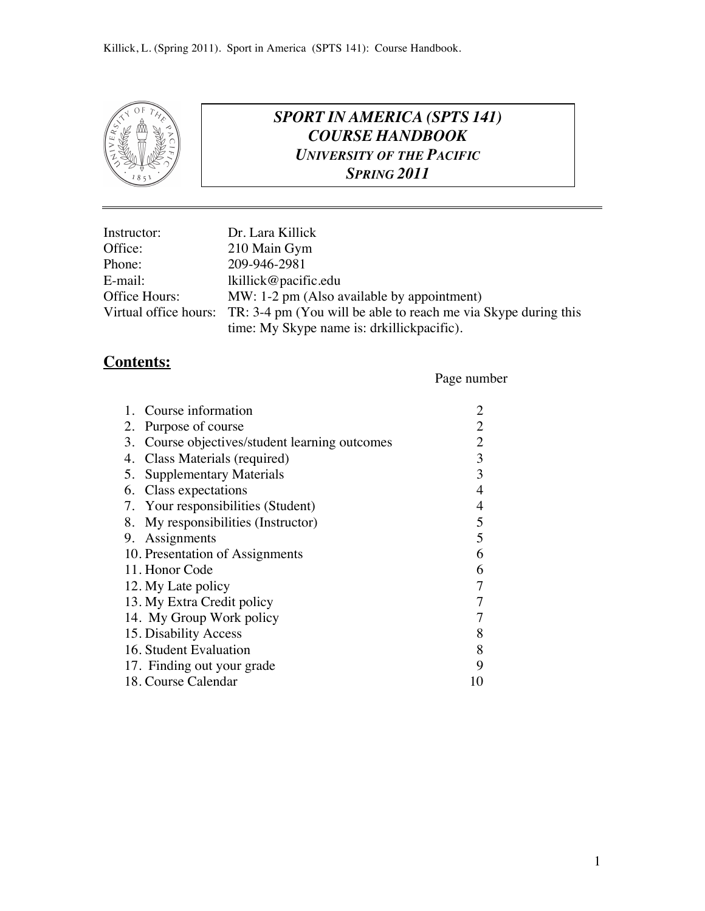

## *SPORT IN AMERICA (SPTS 141) COURSE HANDBOOK UNIVERSITY OF THE PACIFIC SPRING 2011*

| Instructor:   | Dr. Lara Killick                                                                     |
|---------------|--------------------------------------------------------------------------------------|
| Office:       | 210 Main Gym                                                                         |
| Phone:        | 209-946-2981                                                                         |
| E-mail:       | lkillick@pacific.edu                                                                 |
| Office Hours: | MW: 1-2 pm (Also available by appointment)                                           |
|               | Virtual office hours: TR: 3-4 pm (You will be able to reach me via Skype during this |
|               | time: My Skype name is: drkillickpacific).                                           |

#### **Contents:**

#### Page number

| 1. Course information                          |                |
|------------------------------------------------|----------------|
| 2. Purpose of course                           | 2              |
| 3. Course objectives/student learning outcomes | 2              |
| 4. Class Materials (required)                  | 3              |
| 5. Supplementary Materials                     | 3              |
| 6. Class expectations                          | $\overline{4}$ |
| 7. Your responsibilities (Student)             | 4              |
| 8. My responsibilities (Instructor)            | 5              |
| 9. Assignments                                 | 5              |
| 10. Presentation of Assignments                | 6              |
| 11. Honor Code                                 | 6              |
| 12. My Late policy                             | 7              |
| 13. My Extra Credit policy                     | 7              |
| 14. My Group Work policy                       | 7              |
| 15. Disability Access                          | 8              |
| 16. Student Evaluation                         | 8              |
| 17. Finding out your grade                     | 9              |
| 18. Course Calendar                            | 10             |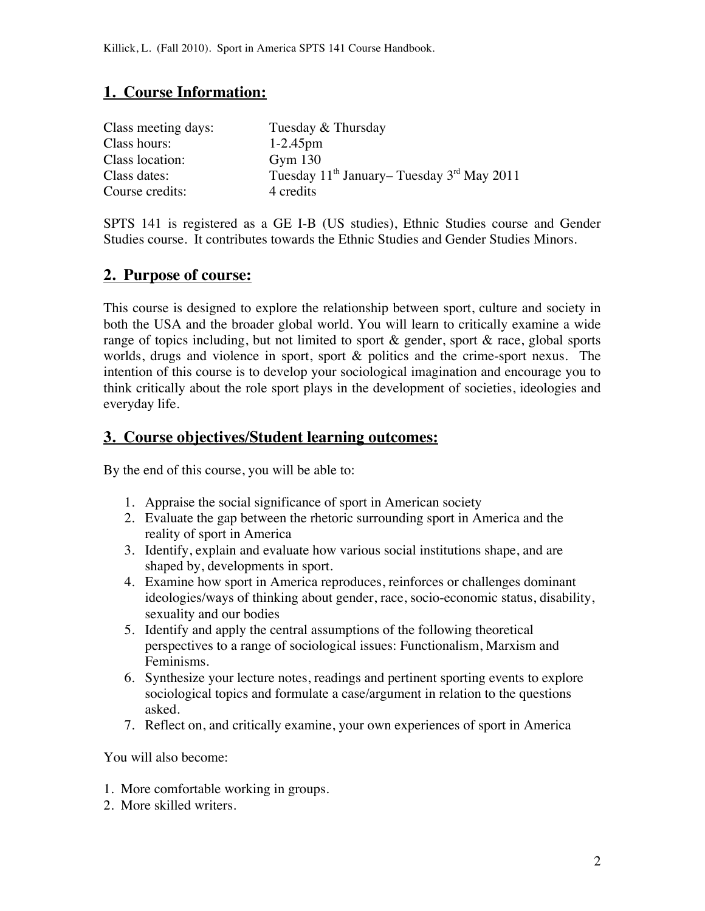## **1. Course Information:**

| Tuesday & Thursday                                         |
|------------------------------------------------------------|
| $1 - 2.45$ pm                                              |
| Gym $130$                                                  |
| Tuesday $11^{th}$ January–Tuesday 3 <sup>rd</sup> May 2011 |
| 4 credits                                                  |
|                                                            |

SPTS 141 is registered as a GE I-B (US studies), Ethnic Studies course and Gender Studies course. It contributes towards the Ethnic Studies and Gender Studies Minors.

#### **2. Purpose of course:**

This course is designed to explore the relationship between sport, culture and society in both the USA and the broader global world. You will learn to critically examine a wide range of topics including, but not limited to sport & gender, sport & race, global sports worlds, drugs and violence in sport, sport & politics and the crime-sport nexus. The intention of this course is to develop your sociological imagination and encourage you to think critically about the role sport plays in the development of societies, ideologies and everyday life.

#### **3. Course objectives/Student learning outcomes:**

By the end of this course, you will be able to:

- 1. Appraise the social significance of sport in American society
- 2. Evaluate the gap between the rhetoric surrounding sport in America and the reality of sport in America
- 3. Identify, explain and evaluate how various social institutions shape, and are shaped by, developments in sport.
- 4. Examine how sport in America reproduces, reinforces or challenges dominant ideologies/ways of thinking about gender, race, socio-economic status, disability, sexuality and our bodies
- 5. Identify and apply the central assumptions of the following theoretical perspectives to a range of sociological issues: Functionalism, Marxism and Feminisms.
- 6. Synthesize your lecture notes, readings and pertinent sporting events to explore sociological topics and formulate a case/argument in relation to the questions asked.
- 7. Reflect on, and critically examine, your own experiences of sport in America

You will also become:

- 1. More comfortable working in groups.
- 2. More skilled writers.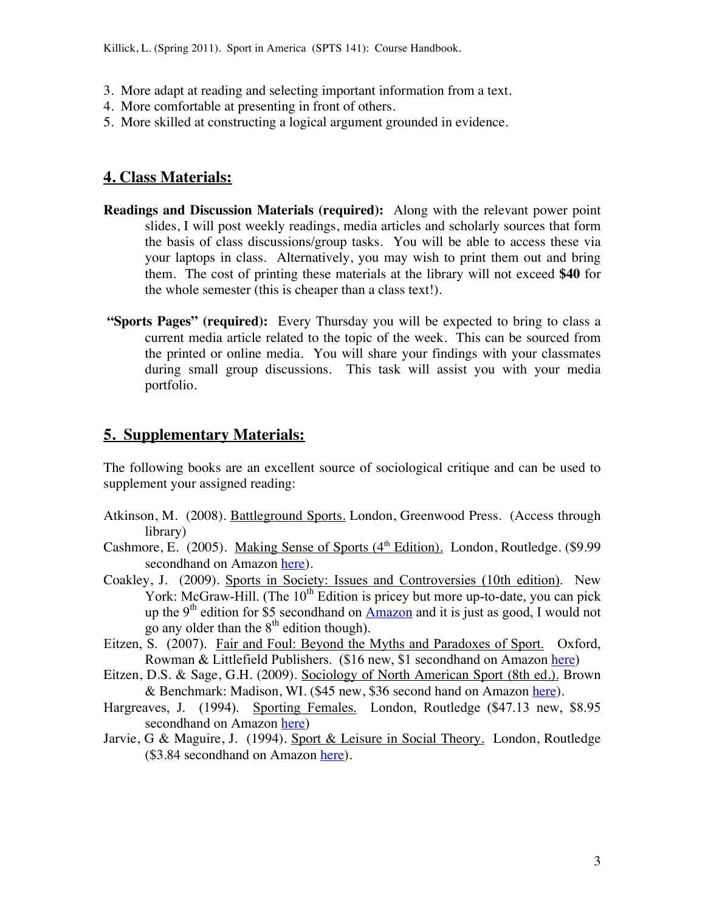- 3. More adapt at reading and selecting important information from a text.
- 4. More comfortable at presenting in front of others.
- 5. More skilled at constructing a logical argument grounded in evidence.

#### **4. Class Materials:**

- **Readings and Discussion Materials (required):** Along with the relevant power point slides, I will post weekly readings, media articles and scholarly sources that form the basis of class discussions/group tasks. You will be able to access these via your laptops in class. Alternatively, you may wish to print them out and bring them. The cost of printing these materials at the library will not exceed **\$40** for the whole semester (this is cheaper than a class text!).
- **"Sports Pages" (required):** Every Thursday you will be expected to bring to class a current media article related to the topic of the week. This can be sourced from the printed or online media. You will share your findings with your classmates during small group discussions. This task will assist you with your media portfolio.

#### **5. Supplementary Materials:**

The following books are an excellent source of sociological critique and can be used to supplement your assigned reading:

- Atkinson, M. (2008). Battleground Sports. London, Greenwood Press. (Access through library)
- Cashmore, E. (2005). Making Sense of Sports ( $4<sup>th</sup>$  Edition). London, Routledge. (\$9.99 secondhand on Amazon here).
- Coakley, J. (2009). Sports in Society: Issues and Controversies (10th edition). New York: McGraw-Hill. (The  $10<sup>th</sup>$  Edition is pricey but more up-to-date, you can pick up the 9<sup>th</sup> edition for \$5 secondhand on Amazon and it is just as good, I would not go any older than the  $8<sup>th</sup>$  edition though).
- Eitzen, S. (2007). Fair and Foul: Beyond the Myths and Paradoxes of Sport. Oxford, Rowman & Littlefield Publishers. (\$16 new, \$1 secondhand on Amazon here)
- Eitzen, D.S. & Sage, G.H. (2009). Sociology of North American Sport (8th ed.). Brown & Benchmark: Madison, WI. (\$45 new, \$36 second hand on Amazon here).
- Hargreaves, J. (1994). Sporting Females. London, Routledge (\$47.13 new, \$8.95 secondhand on Amazon here)
- Jarvie, G & Maguire, J. (1994). Sport & Leisure in Social Theory. London, Routledge (\$3.84 secondhand on Amazon here).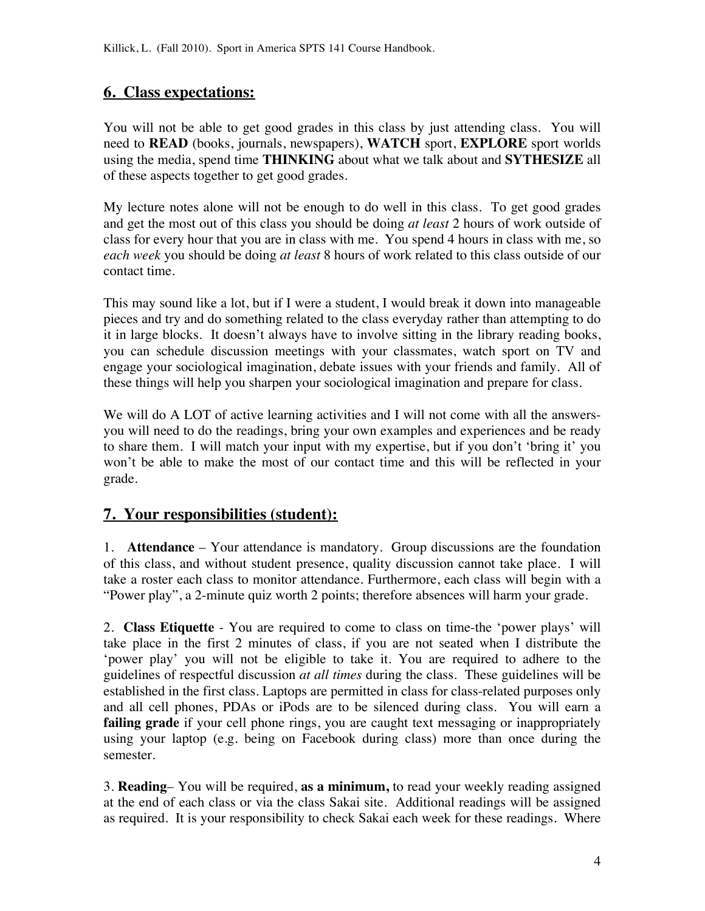## **6. Class expectations:**

You will not be able to get good grades in this class by just attending class. You will need to **READ** (books, journals, newspapers), **WATCH** sport, **EXPLORE** sport worlds using the media, spend time **THINKING** about what we talk about and **SYTHESIZE** all of these aspects together to get good grades.

My lecture notes alone will not be enough to do well in this class. To get good grades and get the most out of this class you should be doing *at least* 2 hours of work outside of class for every hour that you are in class with me. You spend 4 hours in class with me, so *each week* you should be doing *at least* 8 hours of work related to this class outside of our contact time.

This may sound like a lot, but if I were a student, I would break it down into manageable pieces and try and do something related to the class everyday rather than attempting to do it in large blocks. It doesn't always have to involve sitting in the library reading books, you can schedule discussion meetings with your classmates, watch sport on TV and engage your sociological imagination, debate issues with your friends and family. All of these things will help you sharpen your sociological imagination and prepare for class.

We will do A LOT of active learning activities and I will not come with all the answersyou will need to do the readings, bring your own examples and experiences and be ready to share them. I will match your input with my expertise, but if you don't 'bring it' you won't be able to make the most of our contact time and this will be reflected in your grade.

## **7. Your responsibilities (student):**

1. **Attendance** – Your attendance is mandatory. Group discussions are the foundation of this class, and without student presence, quality discussion cannot take place. I will take a roster each class to monitor attendance. Furthermore, each class will begin with a "Power play", a 2-minute quiz worth 2 points; therefore absences will harm your grade.

2. **Class Etiquette** - You are required to come to class on time-the 'power plays' will take place in the first 2 minutes of class, if you are not seated when I distribute the 'power play' you will not be eligible to take it. You are required to adhere to the guidelines of respectful discussion *at all times* during the class. These guidelines will be established in the first class. Laptops are permitted in class for class-related purposes only and all cell phones, PDAs or iPods are to be silenced during class. You will earn a failing grade if your cell phone rings, you are caught text messaging or inappropriately using your laptop (e.g. being on Facebook during class) more than once during the semester.

3. **Reading**– You will be required, **as a minimum,** to read your weekly reading assigned at the end of each class or via the class Sakai site. Additional readings will be assigned as required. It is your responsibility to check Sakai each week for these readings. Where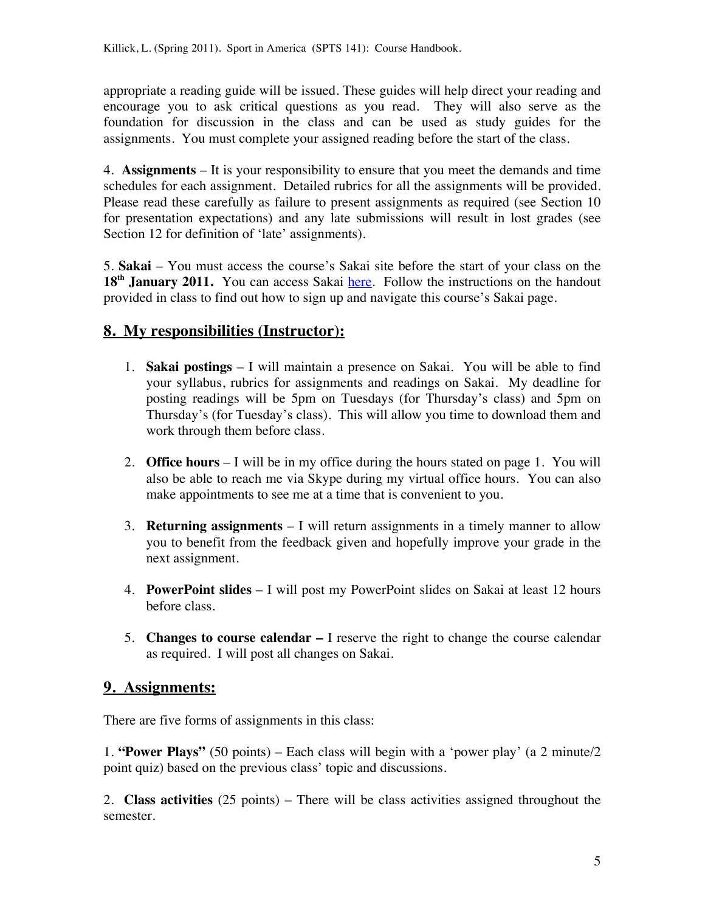appropriate a reading guide will be issued. These guides will help direct your reading and encourage you to ask critical questions as you read. They will also serve as the foundation for discussion in the class and can be used as study guides for the assignments. You must complete your assigned reading before the start of the class.

4. **Assignments** – It is your responsibility to ensure that you meet the demands and time schedules for each assignment. Detailed rubrics for all the assignments will be provided. Please read these carefully as failure to present assignments as required (see Section 10 for presentation expectations) and any late submissions will result in lost grades (see Section 12 for definition of 'late' assignments).

5. **Sakai** – You must access the course's Sakai site before the start of your class on the 18<sup>th</sup> January 2011. You can access Sakai here. Follow the instructions on the handout provided in class to find out how to sign up and navigate this course's Sakai page.

## **8. My responsibilities (Instructor):**

- 1. **Sakai postings** I will maintain a presence on Sakai. You will be able to find your syllabus, rubrics for assignments and readings on Sakai. My deadline for posting readings will be 5pm on Tuesdays (for Thursday's class) and 5pm on Thursday's (for Tuesday's class). This will allow you time to download them and work through them before class.
- 2. **Office hours** I will be in my office during the hours stated on page 1. You will also be able to reach me via Skype during my virtual office hours. You can also make appointments to see me at a time that is convenient to you.
- 3. **Returning assignments**  I will return assignments in a timely manner to allow you to benefit from the feedback given and hopefully improve your grade in the next assignment.
- 4. **PowerPoint slides**  I will post my PowerPoint slides on Sakai at least 12 hours before class.
- 5. **Changes to course calendar –** I reserve the right to change the course calendar as required. I will post all changes on Sakai.

## **9. Assignments:**

There are five forms of assignments in this class:

1. **"Power Plays"** (50 points) – Each class will begin with a 'power play' (a 2 minute/2 point quiz) based on the previous class' topic and discussions.

2. **Class activities** (25 points) – There will be class activities assigned throughout the semester.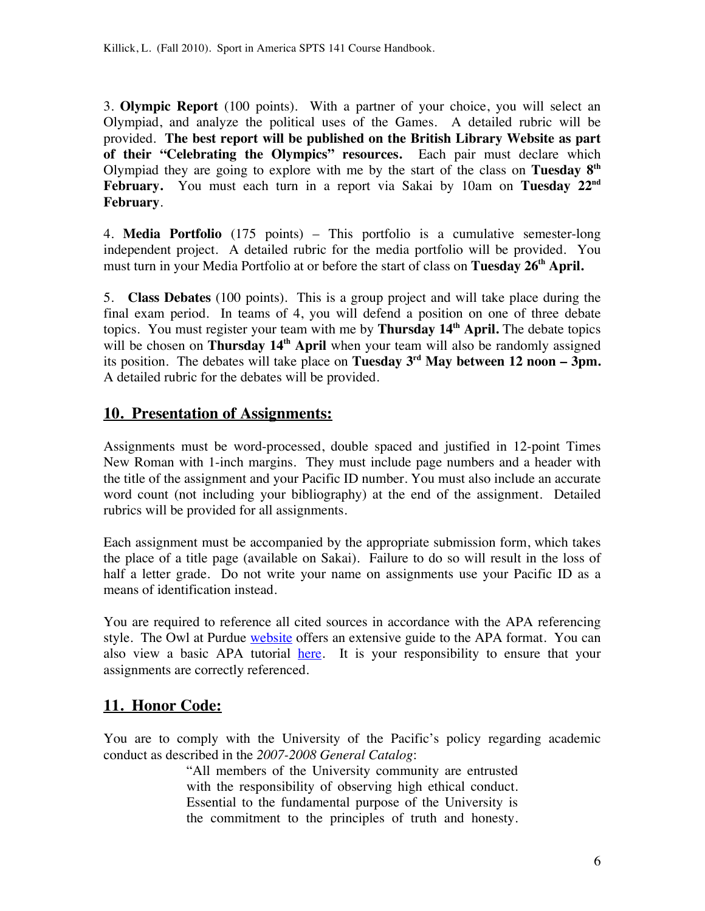3. **Olympic Report** (100 points). With a partner of your choice, you will select an Olympiad, and analyze the political uses of the Games. A detailed rubric will be provided. **The best report will be published on the British Library Website as part of their "Celebrating the Olympics" resources.** Each pair must declare which Olympiad they are going to explore with me by the start of the class on **Tuesday 8th February.** You must each turn in a report via Sakai by 10am on **Tuesday 22nd February**.

4. **Media Portfolio** (175 points) – This portfolio is a cumulative semester-long independent project. A detailed rubric for the media portfolio will be provided. You must turn in your Media Portfolio at or before the start of class on **Tuesday 26<sup>th</sup> April.** 

5. **Class Debates** (100 points). This is a group project and will take place during the final exam period. In teams of 4, you will defend a position on one of three debate topics. You must register your team with me by **Thursday 14th April.** The debate topics will be chosen on **Thursday 14<sup>th</sup> April** when your team will also be randomly assigned its position. The debates will take place on **Tuesday**  $3<sup>rd</sup>$  **May between 12 noon – 3pm.** A detailed rubric for the debates will be provided.

## **10. Presentation of Assignments:**

Assignments must be word-processed, double spaced and justified in 12-point Times New Roman with 1-inch margins. They must include page numbers and a header with the title of the assignment and your Pacific ID number. You must also include an accurate word count (not including your bibliography) at the end of the assignment. Detailed rubrics will be provided for all assignments.

Each assignment must be accompanied by the appropriate submission form, which takes the place of a title page (available on Sakai). Failure to do so will result in the loss of half a letter grade. Do not write your name on assignments use your Pacific ID as a means of identification instead.

You are required to reference all cited sources in accordance with the APA referencing style. The Owl at Purdue website offers an extensive guide to the APA format. You can also view a basic APA tutorial here. It is your responsibility to ensure that your assignments are correctly referenced.

## **11. Honor Code:**

You are to comply with the University of the Pacific's policy regarding academic conduct as described in the *2007-2008 General Catalog*:

> "All members of the University community are entrusted with the responsibility of observing high ethical conduct. Essential to the fundamental purpose of the University is the commitment to the principles of truth and honesty.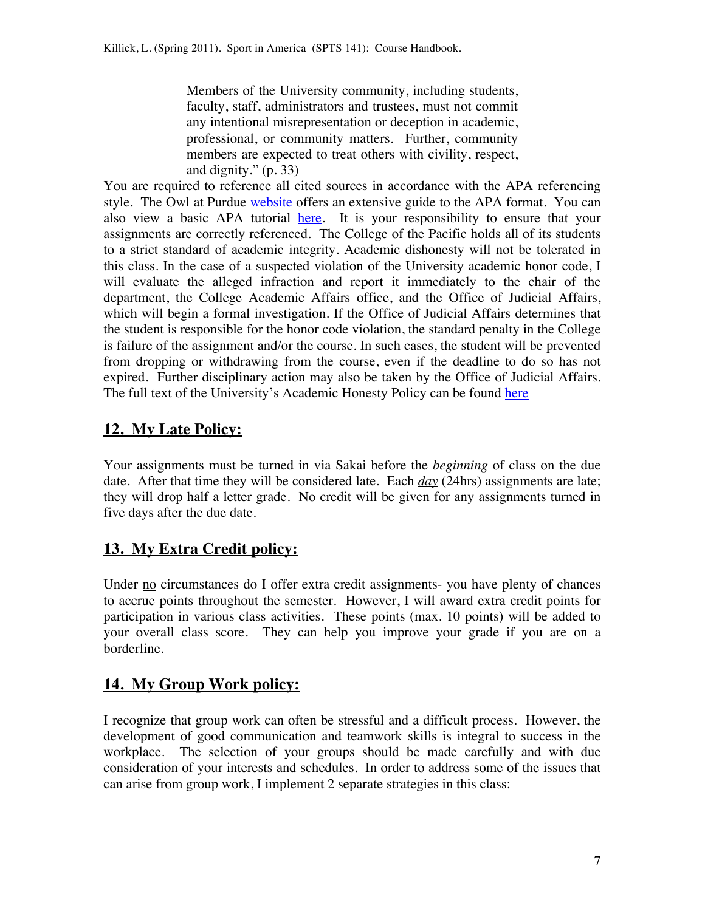Members of the University community, including students, faculty, staff, administrators and trustees, must not commit any intentional misrepresentation or deception in academic, professional, or community matters. Further, community members are expected to treat others with civility, respect, and dignity." (p. 33)

You are required to reference all cited sources in accordance with the APA referencing style. The Owl at Purdue website offers an extensive guide to the APA format. You can also view a basic APA tutorial here. It is your responsibility to ensure that your assignments are correctly referenced. The College of the Pacific holds all of its students to a strict standard of academic integrity. Academic dishonesty will not be tolerated in this class. In the case of a suspected violation of the University academic honor code, I will evaluate the alleged infraction and report it immediately to the chair of the department, the College Academic Affairs office, and the Office of Judicial Affairs, which will begin a formal investigation. If the Office of Judicial Affairs determines that the student is responsible for the honor code violation, the standard penalty in the College is failure of the assignment and/or the course. In such cases, the student will be prevented from dropping or withdrawing from the course, even if the deadline to do so has not expired. Further disciplinary action may also be taken by the Office of Judicial Affairs. The full text of the University's Academic Honesty Policy can be found here

## **12. My Late Policy:**

Your assignments must be turned in via Sakai before the *beginning* of class on the due date. After that time they will be considered late. Each *day* (24hrs) assignments are late; they will drop half a letter grade. No credit will be given for any assignments turned in five days after the due date.

## **13. My Extra Credit policy:**

Under no circumstances do I offer extra credit assignments- you have plenty of chances to accrue points throughout the semester. However, I will award extra credit points for participation in various class activities. These points (max. 10 points) will be added to your overall class score. They can help you improve your grade if you are on a borderline.

## **14. My Group Work policy:**

I recognize that group work can often be stressful and a difficult process. However, the development of good communication and teamwork skills is integral to success in the workplace. The selection of your groups should be made carefully and with due consideration of your interests and schedules. In order to address some of the issues that can arise from group work, I implement 2 separate strategies in this class: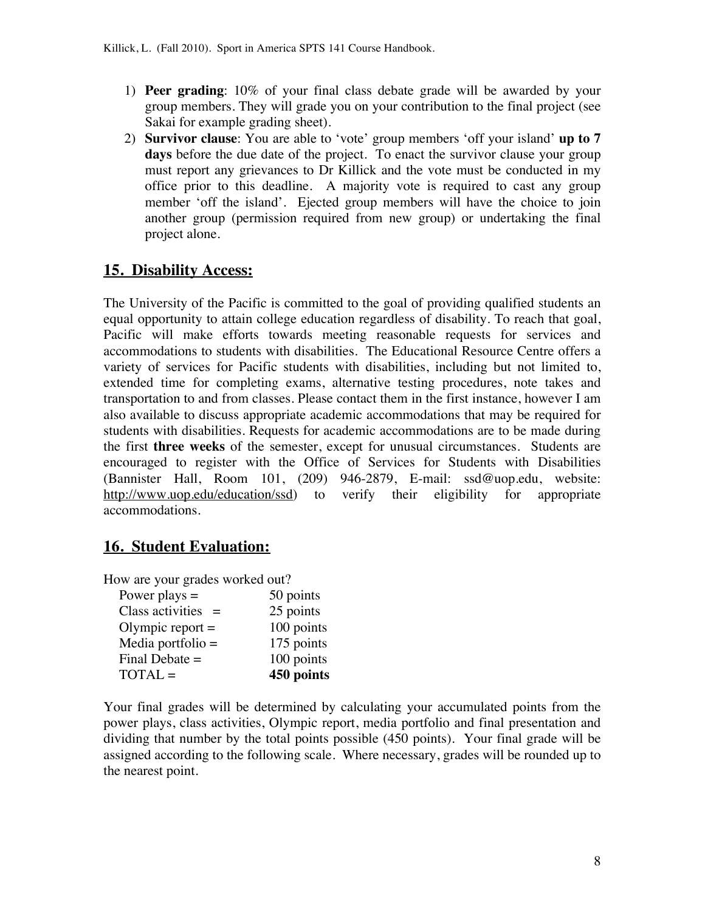- 1) **Peer grading**: 10% of your final class debate grade will be awarded by your group members. They will grade you on your contribution to the final project (see Sakai for example grading sheet).
- 2) **Survivor clause**: You are able to 'vote' group members 'off your island' **up to 7 days** before the due date of the project. To enact the survivor clause your group must report any grievances to Dr Killick and the vote must be conducted in my office prior to this deadline. A majority vote is required to cast any group member 'off the island'. Ejected group members will have the choice to join another group (permission required from new group) or undertaking the final project alone.

## **15. Disability Access:**

The University of the Pacific is committed to the goal of providing qualified students an equal opportunity to attain college education regardless of disability. To reach that goal, Pacific will make efforts towards meeting reasonable requests for services and accommodations to students with disabilities. The Educational Resource Centre offers a variety of services for Pacific students with disabilities, including but not limited to, extended time for completing exams, alternative testing procedures, note takes and transportation to and from classes. Please contact them in the first instance, however I am also available to discuss appropriate academic accommodations that may be required for students with disabilities. Requests for academic accommodations are to be made during the first **three weeks** of the semester, except for unusual circumstances. Students are encouraged to register with the Office of Services for Students with Disabilities (Bannister Hall, Room 101, (209) 946-2879, E-mail: ssd@uop.edu, website: http://www.uop.edu/education/ssd) to verify their eligibility for appropriate accommodations.

## **16. Student Evaluation:**

How are your grades worked out?

| Power plays $=$         | 50 points  |
|-------------------------|------------|
| Class activities<br>$=$ | 25 points  |
| Olympic report $=$      | 100 points |
| Media portfolio $=$     | 175 points |
| Final Debate $=$        | 100 points |
| $TOTAL =$               | 450 points |

Your final grades will be determined by calculating your accumulated points from the power plays, class activities, Olympic report, media portfolio and final presentation and dividing that number by the total points possible (450 points). Your final grade will be assigned according to the following scale. Where necessary, grades will be rounded up to the nearest point.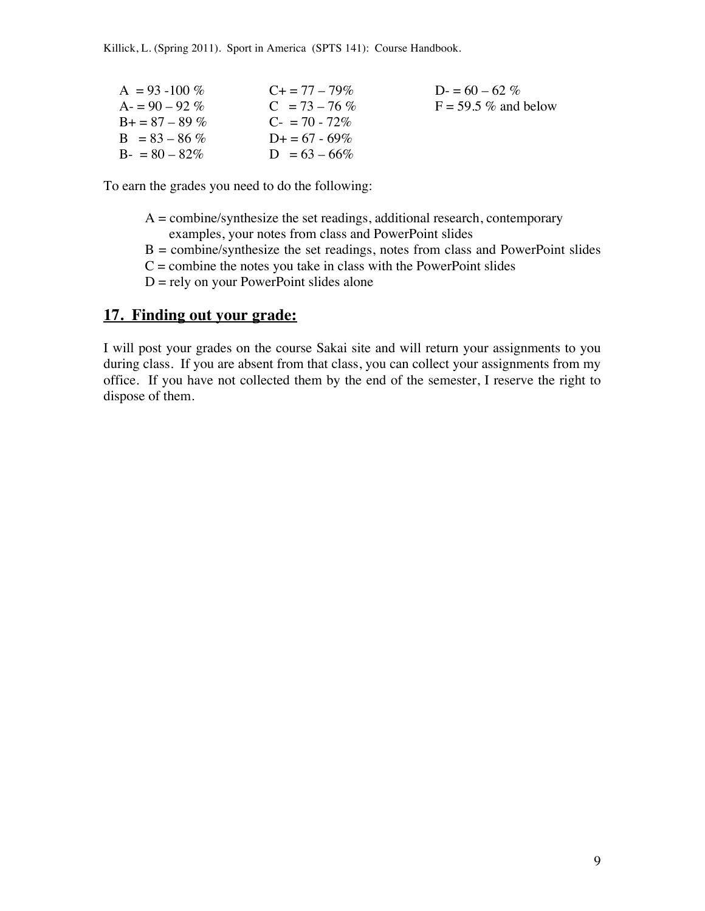Killick, L. (Spring 2011). Sport in America (SPTS 141): Course Handbook.

| $A = 93 - 100\%$  | $C_{\pm} = 77 - 79\%$ | $D = 60 - 62\%$         |
|-------------------|-----------------------|-------------------------|
| $A = 90 - 92\%$   | $C = 73 - 76\%$       | $F = 59.5 \%$ and below |
| $B_0 = 87 - 89\%$ | $C_{-} = 70 - 72\%$   |                         |
| $B = 83 - 86\%$   | $D_{\pm} = 67 - 69\%$ |                         |
| $B = 80 - 82\%$   | $D = 63 - 66\%$       |                         |

To earn the grades you need to do the following:

- $A =$ combine/synthesize the set readings, additional research, contemporary examples, your notes from class and PowerPoint slides
- $B =$  combine/synthesize the set readings, notes from class and PowerPoint slides
- $C =$  combine the notes you take in class with the PowerPoint slides
- $D =$  rely on your PowerPoint slides alone

#### **17. Finding out your grade:**

I will post your grades on the course Sakai site and will return your assignments to you during class. If you are absent from that class, you can collect your assignments from my office. If you have not collected them by the end of the semester, I reserve the right to dispose of them.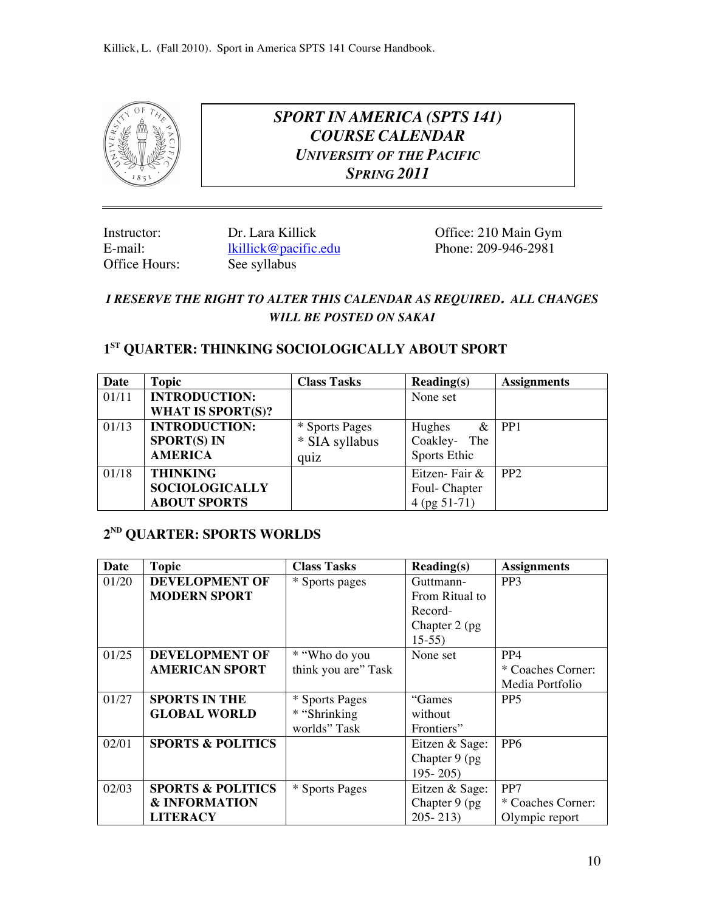

*SPORT IN AMERICA (SPTS 141) COURSE CALENDAR UNIVERSITY OF THE PACIFIC SPRING 2011*

E-mail: lkillick@pacific.edu<br>
Office Hours: 209-95-2091 See syllabus See syllabus

Instructor: Dr. Lara Killick Office: 210 Main Gym<br>
E-mail: lkillick@pacific.edu Phone: 209-946-2981

## *I RESERVE THE RIGHT TO ALTER THIS CALENDAR AS REQUIRED. ALL CHANGES WILL BE POSTED ON SAKAI*

## **1ST QUARTER: THINKING SOCIOLOGICALLY ABOUT SPORT**

| Date  | <b>Topic</b>             | <b>Class Tasks</b> | $\bf Reading(s)$ | <b>Assignments</b> |
|-------|--------------------------|--------------------|------------------|--------------------|
| 01/11 | <b>INTRODUCTION:</b>     |                    | None set         |                    |
|       | <b>WHAT IS SPORT(S)?</b> |                    |                  |                    |
| 01/13 | <b>INTRODUCTION:</b>     | * Sports Pages     | Hughes           | $&$ PP1            |
|       | <b>SPORT(S) IN</b>       | * SIA syllabus     | Coakley- The     |                    |
|       | <b>AMERICA</b>           | quiz               | Sports Ethic     |                    |
| 01/18 | <b>THINKING</b>          |                    | Eitzen-Fair &    | PP <sub>2</sub>    |
|       | <b>SOCIOLOGICALLY</b>    |                    | Foul-Chapter     |                    |
|       | <b>ABOUT SPORTS</b>      |                    | $4$ (pg 51-71)   |                    |

## **2ND QUARTER: SPORTS WORLDS**

| Date  | <b>Topic</b>                 | <b>Class Tasks</b>  | $\textbf{Reading}(s)$ | <b>Assignments</b> |
|-------|------------------------------|---------------------|-----------------------|--------------------|
| 01/20 | <b>DEVELOPMENT OF</b>        | * Sports pages      | Guttmann-             | PP <sub>3</sub>    |
|       | <b>MODERN SPORT</b>          |                     | From Ritual to        |                    |
|       |                              |                     | Record-               |                    |
|       |                              |                     | Chapter 2 (pg)        |                    |
|       |                              |                     | $15-55$               |                    |
| 01/25 | <b>DEVELOPMENT OF</b>        | * "Who do you       | None set              | PP <sub>4</sub>    |
|       | <b>AMERICAN SPORT</b>        | think you are" Task |                       | * Coaches Corner:  |
|       |                              |                     |                       | Media Portfolio    |
| 01/27 | <b>SPORTS IN THE</b>         | * Sports Pages      | "Games"               | PP <sub>5</sub>    |
|       | <b>GLOBAL WORLD</b>          | * "Shrinking        | without               |                    |
|       |                              | worlds" Task        | Frontiers"            |                    |
| 02/01 | <b>SPORTS &amp; POLITICS</b> |                     | Eitzen & Sage:        | P <sub>P6</sub>    |
|       |                              |                     | Chapter 9 (pg)        |                    |
|       |                              |                     | $195 - 205$           |                    |
| 02/03 | <b>SPORTS &amp; POLITICS</b> | * Sports Pages      | Eitzen & Sage:        | PP7                |
|       | <b>&amp; INFORMATION</b>     |                     | Chapter 9 (pg)        | * Coaches Corner:  |
|       | <b>LITERACY</b>              |                     | $205 - 213$           | Olympic report     |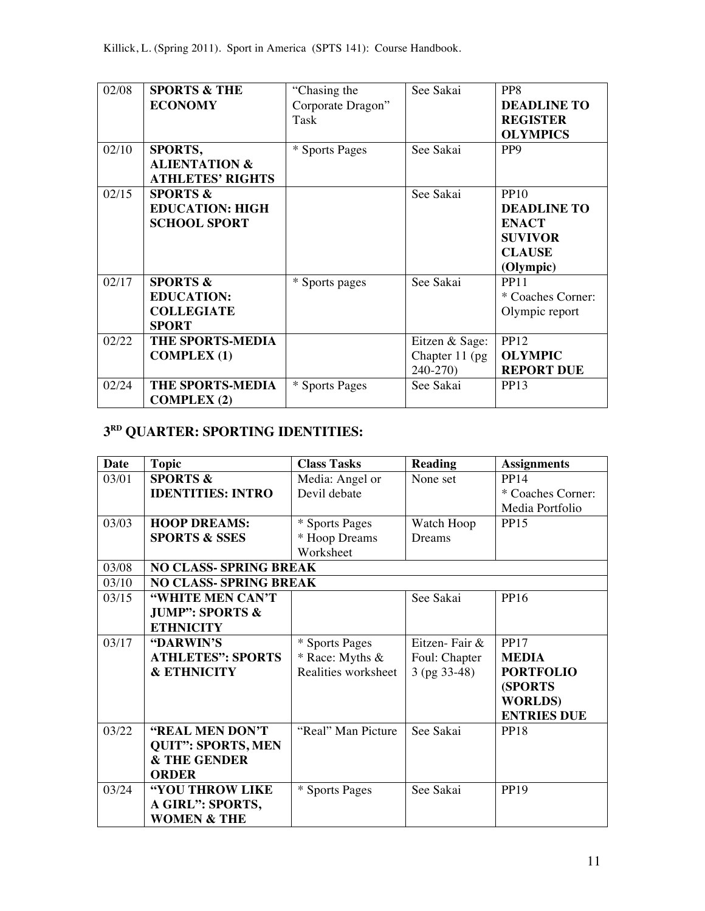| 02/08 | <b>SPORTS &amp; THE</b><br><b>ECONOMY</b>                                     | "Chasing the<br>Corporate Dragon"<br>Task | See Sakai                                     | PP8<br><b>DEADLINE TO</b><br><b>REGISTER</b><br><b>OLYMPICS</b>                                   |
|-------|-------------------------------------------------------------------------------|-------------------------------------------|-----------------------------------------------|---------------------------------------------------------------------------------------------------|
| 02/10 | <b>SPORTS,</b><br><b>ALIENTATION &amp;</b><br><b>ATHLETES' RIGHTS</b>         | * Sports Pages                            | See Sakai                                     | PP <sub>9</sub>                                                                                   |
| 02/15 | <b>SPORTS &amp;</b><br><b>EDUCATION: HIGH</b><br><b>SCHOOL SPORT</b>          |                                           | See Sakai                                     | <b>PP10</b><br><b>DEADLINE TO</b><br><b>ENACT</b><br><b>SUVIVOR</b><br><b>CLAUSE</b><br>(Olympic) |
| 02/17 | <b>SPORTS &amp;</b><br><b>EDUCATION:</b><br><b>COLLEGIATE</b><br><b>SPORT</b> | * Sports pages                            | See Sakai                                     | <b>PP11</b><br>* Coaches Corner:<br>Olympic report                                                |
| 02/22 | <b>THE SPORTS-MEDIA</b><br><b>COMPLEX (1)</b>                                 |                                           | Eitzen & Sage:<br>Chapter 11 (pg)<br>240-270) | <b>PP12</b><br><b>OLYMPIC</b><br><b>REPORT DUE</b>                                                |
| 02/24 | THE SPORTS-MEDIA<br><b>COMPLEX (2)</b>                                        | * Sports Pages                            | See Sakai                                     | <b>PP13</b>                                                                                       |

# **3RD QUARTER: SPORTING IDENTITIES:**

| <b>Date</b> | <b>Topic</b>                  | <b>Class Tasks</b>  | <b>Reading</b> | <b>Assignments</b> |
|-------------|-------------------------------|---------------------|----------------|--------------------|
| 03/01       | <b>SPORTS &amp;</b>           | Media: Angel or     | None set       | <b>PP14</b>        |
|             | <b>IDENTITIES: INTRO</b>      | Devil debate        |                | * Coaches Corner:  |
|             |                               |                     |                | Media Portfolio    |
| 03/03       | <b>HOOP DREAMS:</b>           | * Sports Pages      | Watch Hoop     | <b>PP15</b>        |
|             | <b>SPORTS &amp; SSES</b>      | * Hoop Dreams       | Dreams         |                    |
|             |                               | Worksheet           |                |                    |
| 03/08       | <b>NO CLASS- SPRING BREAK</b> |                     |                |                    |
| 03/10       | <b>NO CLASS- SPRING BREAK</b> |                     |                |                    |
| 03/15       | "WHITE MEN CAN'T              |                     | See Sakai      | PP16               |
|             | <b>JUMP": SPORTS &amp;</b>    |                     |                |                    |
|             | <b>ETHNICITY</b>              |                     |                |                    |
| 03/17       | "DARWIN'S                     | * Sports Pages      | Eitzen-Fair &  | <b>PP17</b>        |
|             | <b>ATHLETES": SPORTS</b>      | * Race: Myths &     | Foul: Chapter  | <b>MEDIA</b>       |
|             | <b>&amp; ETHNICITY</b>        | Realities worksheet | $3$ (pg 33-48) | <b>PORTFOLIO</b>   |
|             |                               |                     |                | (SPORTS            |
|             |                               |                     |                | <b>WORLDS</b> )    |
|             |                               |                     |                | <b>ENTRIES DUE</b> |
| 03/22       | "REAL MEN DON'T               | "Real" Man Picture  | See Sakai      | <b>PP18</b>        |
|             | <b>QUIT": SPORTS, MEN</b>     |                     |                |                    |
|             | & THE GENDER                  |                     |                |                    |
|             | <b>ORDER</b>                  |                     |                |                    |
| 03/24       | "YOU THROW LIKE               | * Sports Pages      | See Sakai      | PP19               |
|             | A GIRL": SPORTS,              |                     |                |                    |
|             | <b>WOMEN &amp; THE</b>        |                     |                |                    |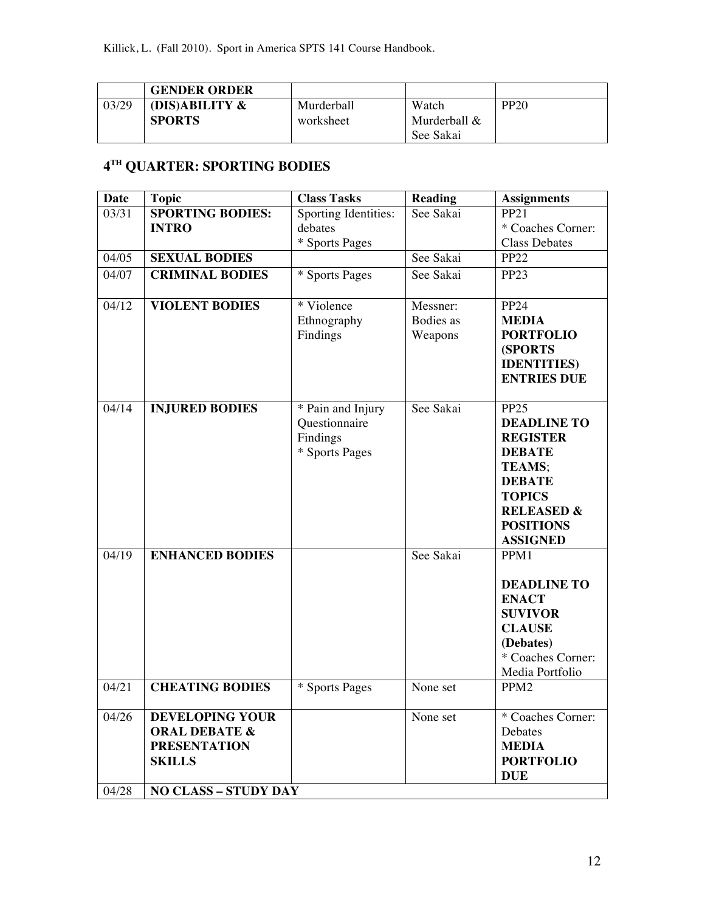|       | <b>GENDER ORDER</b> |            |              |             |
|-------|---------------------|------------|--------------|-------------|
| 03/29 | (DIS)ABILITY &      | Murderball | Watch        | <b>PP20</b> |
|       | <b>SPORTS</b>       | worksheet  | Murderball & |             |
|       |                     |            | See Sakai    |             |

# **4TH QUARTER: SPORTING BODIES**

| <b>Date</b>    | <b>Topic</b>                                                                                                              | <b>Class Tasks</b>                                               | <b>Reading</b>                          | <b>Assignments</b>                                                                                                                                                                     |
|----------------|---------------------------------------------------------------------------------------------------------------------------|------------------------------------------------------------------|-----------------------------------------|----------------------------------------------------------------------------------------------------------------------------------------------------------------------------------------|
| 03/31          | <b>SPORTING BODIES:</b>                                                                                                   | <b>Sporting Identities:</b>                                      | See Sakai                               | <b>PP21</b>                                                                                                                                                                            |
|                | <b>INTRO</b>                                                                                                              | debates                                                          |                                         | * Coaches Corner:                                                                                                                                                                      |
|                |                                                                                                                           | * Sports Pages                                                   |                                         | <b>Class Debates</b>                                                                                                                                                                   |
| 04/05          | <b>SEXUAL BODIES</b>                                                                                                      |                                                                  | See Sakai                               | <b>PP22</b>                                                                                                                                                                            |
| 04/07          | <b>CRIMINAL BODIES</b>                                                                                                    | * Sports Pages                                                   | See Sakai                               | <b>PP23</b>                                                                                                                                                                            |
| 04/12          | <b>VIOLENT BODIES</b>                                                                                                     | * Violence<br>Ethnography<br>Findings                            | Messner:<br><b>Bodies</b> as<br>Weapons | <b>PP24</b><br><b>MEDIA</b><br><b>PORTFOLIO</b><br><b>(SPORTS)</b><br><b>IDENTITIES</b> )<br><b>ENTRIES DUE</b>                                                                        |
| 04/14          | <b>INJURED BODIES</b>                                                                                                     | * Pain and Injury<br>Questionnaire<br>Findings<br>* Sports Pages | See Sakai                               | PP <sub>25</sub><br><b>DEADLINE TO</b><br><b>REGISTER</b><br><b>DEBATE</b><br>TEAMS;<br><b>DEBATE</b><br><b>TOPICS</b><br><b>RELEASED &amp;</b><br><b>POSITIONS</b><br><b>ASSIGNED</b> |
| 04/19          | <b>ENHANCED BODIES</b>                                                                                                    |                                                                  | See Sakai                               | PPM1<br><b>DEADLINE TO</b><br><b>ENACT</b><br><b>SUVIVOR</b><br><b>CLAUSE</b><br>(Debates)<br>* Coaches Corner:<br>Media Portfolio                                                     |
| 04/21          | <b>CHEATING BODIES</b>                                                                                                    | * Sports Pages                                                   | None set                                | PPM <sub>2</sub>                                                                                                                                                                       |
| 04/26<br>04/28 | <b>DEVELOPING YOUR</b><br><b>ORAL DEBATE &amp;</b><br><b>PRESENTATION</b><br><b>SKILLS</b><br><b>NO CLASS - STUDY DAY</b> |                                                                  | None set                                | * Coaches Corner:<br>Debates<br><b>MEDIA</b><br><b>PORTFOLIO</b><br><b>DUE</b>                                                                                                         |